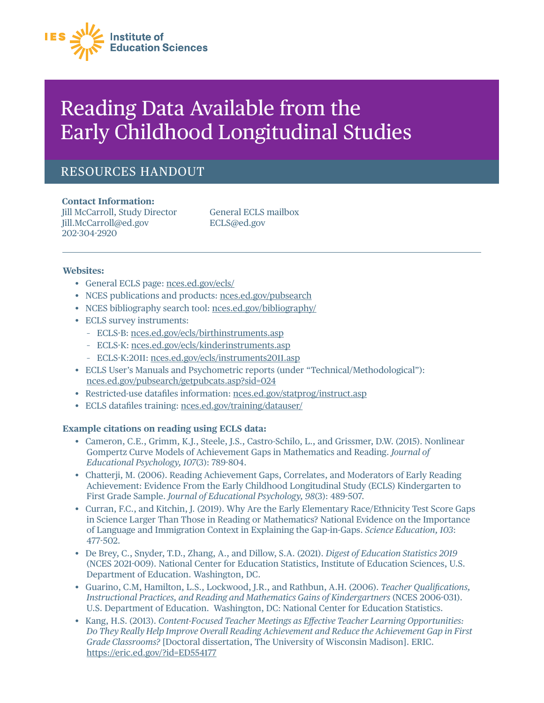

# Reading Data Available from the Early Childhood Longitudinal Studies

# RESOURCES HANDOUT

**Contact Information:**  Jill McCarroll, Study Director General ECLS mailbox [Jill.McCarroll@ed.gov](mailto:Jill.McCarroll@ed.gov) [ECLS@ed.gov](mailto:ECLS@ed.gov)  202˜304˜2920

#### **Websites:**

- General ECLS page: [nces.ed.gov/ecls/](https://nces.ed.gov/ecls/)
- NCES publications and products: [nces.ed.gov/pubsearch](https://nces.ed.gov/pubsearch/)
- NCES bibliography search tool: [nces.ed.gov/bibliography/](https://nces.ed.gov/bibliography/)
- ECLS survey instruments:
	- ECLS˜B: [nces.ed.gov/ecls/birthinstruments.asp](https://nces.ed.gov/ecls/birthinstruments.asp)
	- ECLS-K: nces.ed.gov/ecls/kinderinstruments.asp
	- ECLS˜K:2011: [nces.ed.gov/ecls/instruments2011.asp](https://nces.ed.gov/ecls/instruments2011.asp)
- ECLS User's Manuals and Psychometric reports (under "Technical/Methodological"): [nces.ed.gov/pubsearch/getpubcats.asp?sid=024](https://nces.ed.gov/pubsearch/getpubcats.asp?sid=024)
- Restricted-use datafiles information: nces.ed.gov/statprog/instruct.asp
- ECLS datafiles training: nces.ed.gov/training/datauser/

## **Example citations on reading using ECLS data:**

- Cameron, C.E., Grimm, K.J., Steele, J.S., Castro-Schilo, L., and Grissmer, D.W. (2015). Nonlinear Gompertz Curve Models of Achievement Gaps in Mathematics and Reading. *Journal of*  Educational Psychology, 107(3): 789-804.
- Chatterji, M. (2006). Reading Achievement Gaps, Correlates, and Moderators of Early Reading Achievement: Evidence From the Early Childhood Longitudinal Study (ECLS) Kindergarten to First Grade Sample. *Journal of Educational Psychology*, 98(3): 489-507.
- Curran, F.C., and Kitchin, J. (2019). Why Are the Early Elementary Race/Ethnicity Test Score Gaps in Science Larger Than Those in Reading or Mathematics? National Evidence on the Importance of Language and Immigration Context in Explaining the Gap-in-Gaps. *Science Education, 103*: 477-502.
- De Brey, C., Snyder, T.D., Zhang, A., and Dillow, S.A. (2021). *Digest of Education Statistics 2019*  (NCES 2021-009). National Center for Education Statistics, Institute of Education Sciences, U.S. Department of Education. Washington, DC.
- Guarino, C.M, Hamilton, L.S., Lockwood, J.R., and Rathbun, A.H. (2006). *Teacher Qualiÿcations, Instructional Practices, and Reading and Mathematics Gains of Kindergartners* (NCES 2006-031). U.S. Department of Education. Washington, DC: National Center for Education Statistics.
- Kang, H.S. (2013). *Content-Focused Teacher Meetings as E˛ective Teacher Learning Opportunities: Do They Really Help Improve Overall Reading Achievement and Reduce the Achievement Gap in First Grade Classrooms?* [Doctoral dissertation, The University of Wisconsin Madison]. ERIC. <https://eric.ed.gov/?id=ED554177>